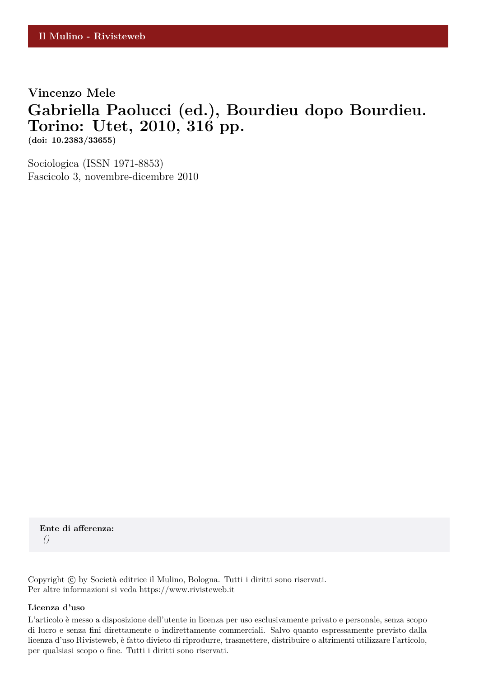# **Vincenzo Mele**

## **Gabriella Paolucci (ed.), Bourdieu dopo Bourdieu. Torino: Utet, 2010, 316 pp.**

**(doi: 10.2383/33655)**

Sociologica (ISSN 1971-8853) Fascicolo 3, novembre-dicembre 2010

**Ente di afferenza:** *()*

Copyright © by Società editrice il Mulino, Bologna. Tutti i diritti sono riservati. Per altre informazioni si veda https://www.rivisteweb.it

#### **Licenza d'uso**

L'articolo è messo a disposizione dell'utente in licenza per uso esclusivamente privato e personale, senza scopo di lucro e senza fini direttamente o indirettamente commerciali. Salvo quanto espressamente previsto dalla licenza d'uso Rivisteweb, è fatto divieto di riprodurre, trasmettere, distribuire o altrimenti utilizzare l'articolo, per qualsiasi scopo o fine. Tutti i diritti sono riservati.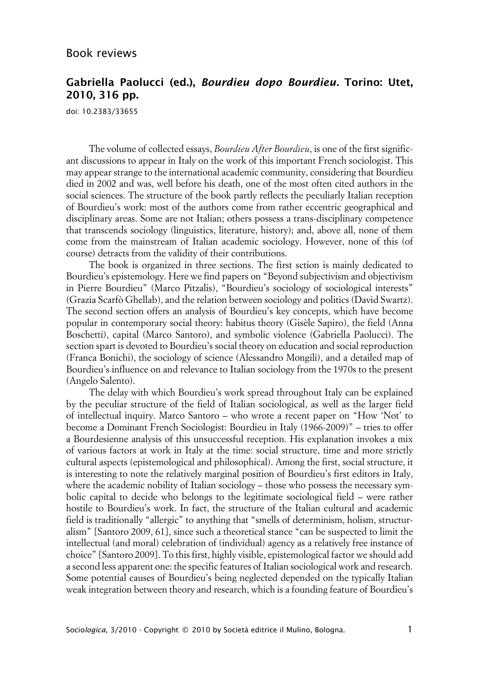## **Gabriella Paolucci (ed.), Bourdieu dopo Bourdieu. Torino: Utet, 2010, 316 pp.**

doi: 10.2383/33655

The volume of collected essays, *Bourdieu After Bourdieu*, is one of the first significant discussions to appear in Italy on the work of this important French sociologist. This may appear strange to the international academic community, considering that Bourdieu died in 2002 and was, well before his death, one of the most often cited authors in the social sciences. The structure of the book partly reflects the peculiarly Italian reception of Bourdieu's work: most of the authors come from rather eccentric geographical and disciplinary areas. Some are not Italian; others possess a trans-disciplinary competence that transcends sociology (linguistics, literature, history); and, above all, none of them come from the mainstream of Italian academic sociology. However, none of this (of course) detracts from the validity of their contributions.

The book is organized in three sections. The first sction is mainly dedicated to Bourdieu's epistemology. Here we find papers on "Beyond subjectivism and objectivism in Pierre Bourdieu" (Marco Pitzalis), "Bourdieu's sociology of sociological interests" (Grazia Scarfò Ghellab), and the relation between sociology and politics (David Swartz). The second section offers an analysis of Bourdieu's key concepts, which have become popular in contemporary social theory: habitus theory (Gisèle Sapiro), the field (Anna Boschetti), capital (Marco Santoro), and symbolic violence (Gabriella Paolucci). The section spart is devoted to Bourdieu's social theory on education and social reproduction (Franca Bonichi), the sociology of science (Alessandro Mongili), and a detailed map of Bourdieu's influence on and relevance to Italian sociology from the 1970s to the present (Angelo Salento).

The delay with which Bourdieu's work spread throughout Italy can be explained by the peculiar structure of the field of Italian sociological, as well as the larger field of intellectual inquiry. Marco Santoro – who wrote a recent paper on "How 'Not' to become a Dominant French Sociologist: Bourdieu in Italy (1966-2009)" – tries to offer a Bourdesienne analysis of this unsuccessful reception. His explanation invokes a mix of various factors at work in Italy at the time: social structure, time and more strictly cultural aspects (epistemological and philosophical). Among the first, social structure, it is interesting to note the relatively marginal position of Bourdieu's first editors in Italy, where the academic nobility of Italian sociology – those who possess the necessary symbolic capital to decide who belongs to the legitimate sociological field – were rather hostile to Bourdieu's work. In fact, the structure of the Italian cultural and academic field is traditionally "allergic" to anything that "smells of determinism, holism, structuralism" [Santoro 2009, 61], since such a theoretical stance "can be suspected to limit the intellectual (and moral) celebration of (individual) agency as a relatively free instance of choice" [Santoro 2009]. To this first, highly visible, epistemological factor we should add a second less apparent one: the specific features of Italian sociological work and research. Some potential causes of Bourdieu's being neglected depended on the typically Italian weak integration between theory and research, which is a founding feature of Bourdieu's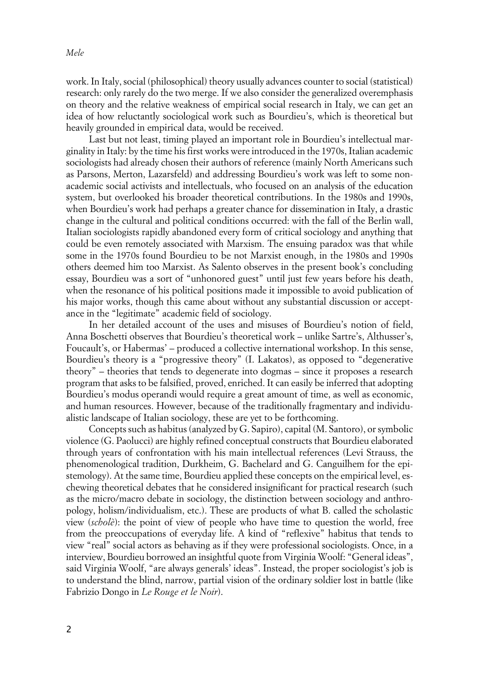work. In Italy, social (philosophical) theory usually advances counter to social (statistical) research: only rarely do the two merge. If we also consider the generalized overemphasis on theory and the relative weakness of empirical social research in Italy, we can get an idea of how reluctantly sociological work such as Bourdieu's, which is theoretical but heavily grounded in empirical data, would be received.

Last but not least, timing played an important role in Bourdieu's intellectual marginality in Italy: by the time his first works were introduced in the 1970s, Italian academic sociologists had already chosen their authors of reference (mainly North Americans such as Parsons, Merton, Lazarsfeld) and addressing Bourdieu's work was left to some nonacademic social activists and intellectuals, who focused on an analysis of the education system, but overlooked his broader theoretical contributions. In the 1980s and 1990s, when Bourdieu's work had perhaps a greater chance for dissemination in Italy, a drastic change in the cultural and political conditions occurred: with the fall of the Berlin wall, Italian sociologists rapidly abandoned every form of critical sociology and anything that could be even remotely associated with Marxism. The ensuing paradox was that while some in the 1970s found Bourdieu to be not Marxist enough, in the 1980s and 1990s others deemed him too Marxist. As Salento observes in the present book's concluding essay, Bourdieu was a sort of "unhonored guest" until just few years before his death, when the resonance of his political positions made it impossible to avoid publication of his major works, though this came about without any substantial discussion or acceptance in the "legitimate" academic field of sociology.

In her detailed account of the uses and misuses of Bourdieu's notion of field, Anna Boschetti observes that Bourdieu's theoretical work – unlike Sartre's, Althusser's, Foucault's, or Habermas' – produced a collective international workshop. In this sense, Bourdieu's theory is a "progressive theory" (I. Lakatos), as opposed to "degenerative theory" – theories that tends to degenerate into dogmas – since it proposes a research program that asks to be falsified, proved, enriched. It can easily be inferred that adopting Bourdieu's modus operandi would require a great amount of time, as well as economic, and human resources. However, because of the traditionally fragmentary and individualistic landscape of Italian sociology, these are yet to be forthcoming.

Concepts such as habitus (analyzed by G. Sapiro), capital (M. Santoro), or symbolic violence (G. Paolucci) are highly refined conceptual constructs that Bourdieu elaborated through years of confrontation with his main intellectual references (Levi Strauss, the phenomenological tradition, Durkheim, G. Bachelard and G. Canguilhem for the epistemology). At the same time, Bourdieu applied these concepts on the empirical level, eschewing theoretical debates that he considered insignificant for practical research (such as the micro/macro debate in sociology, the distinction between sociology and anthropology, holism/individualism, etc.). These are products of what B. called the scholastic view (*scholè*): the point of view of people who have time to question the world, free from the preoccupations of everyday life. A kind of "reflexive" habitus that tends to view "real" social actors as behaving as if they were professional sociologists. Once, in a interview, Bourdieu borrowed an insightful quote from Virginia Woolf: "General ideas", said Virginia Woolf, "are always generals' ideas". Instead, the proper sociologist's job is to understand the blind, narrow, partial vision of the ordinary soldier lost in battle (like Fabrizio Dongo in *Le Rouge et le Noir*).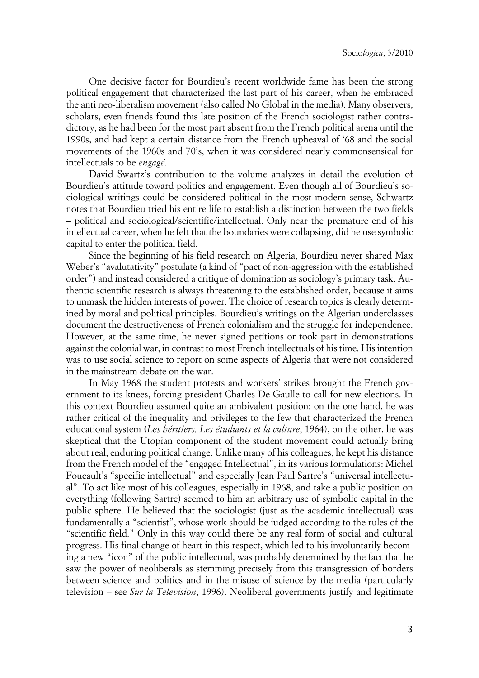One decisive factor for Bourdieu's recent worldwide fame has been the strong political engagement that characterized the last part of his career, when he embraced the anti neo-liberalism movement (also called No Global in the media). Many observers, scholars, even friends found this late position of the French sociologist rather contradictory, as he had been for the most part absent from the French political arena until the 1990s, and had kept a certain distance from the French upheaval of '68 and the social movements of the 1960s and 70's, when it was considered nearly commonsensical for intellectuals to be *engagé*.

David Swartz's contribution to the volume analyzes in detail the evolution of Bourdieu's attitude toward politics and engagement. Even though all of Bourdieu's sociological writings could be considered political in the most modern sense, Schwartz notes that Bourdieu tried his entire life to establish a distinction between the two fields – political and sociological/scientific/intellectual. Only near the premature end of his intellectual career, when he felt that the boundaries were collapsing, did he use symbolic capital to enter the political field.

Since the beginning of his field research on Algeria, Bourdieu never shared Max Weber's "avalutativity" postulate (a kind of "pact of non-aggression with the established order") and instead considered a critique of domination as sociology's primary task. Authentic scientific research is always threatening to the established order, because it aims to unmask the hidden interests of power. The choice of research topics is clearly determined by moral and political principles. Bourdieu's writings on the Algerian underclasses document the destructiveness of French colonialism and the struggle for independence. However, at the same time, he never signed petitions or took part in demonstrations against the colonial war, in contrast to most French intellectuals of his time. His intention was to use social science to report on some aspects of Algeria that were not considered in the mainstream debate on the war.

In May 1968 the student protests and workers' strikes brought the French government to its knees, forcing president Charles De Gaulle to call for new elections. In this context Bourdieu assumed quite an ambivalent position: on the one hand, he was rather critical of the inequality and privileges to the few that characterized the French educational system (*Les héritiers. Les étudiants et la culture*, 1964), on the other, he was skeptical that the Utopian component of the student movement could actually bring about real, enduring political change. Unlike many of his colleagues, he kept his distance from the French model of the "engaged Intellectual", in its various formulations: Michel Foucault's "specific intellectual" and especially Jean Paul Sartre's "universal intellectual". To act like most of his colleagues, especially in 1968, and take a public position on everything (following Sartre) seemed to him an arbitrary use of symbolic capital in the public sphere. He believed that the sociologist (just as the academic intellectual) was fundamentally a "scientist", whose work should be judged according to the rules of the "scientific field." Only in this way could there be any real form of social and cultural progress. His final change of heart in this respect, which led to his involuntarily becoming a new "icon" of the public intellectual, was probably determined by the fact that he saw the power of neoliberals as stemming precisely from this transgression of borders between science and politics and in the misuse of science by the media (particularly television – see *Sur la Television*, 1996). Neoliberal governments justify and legitimate